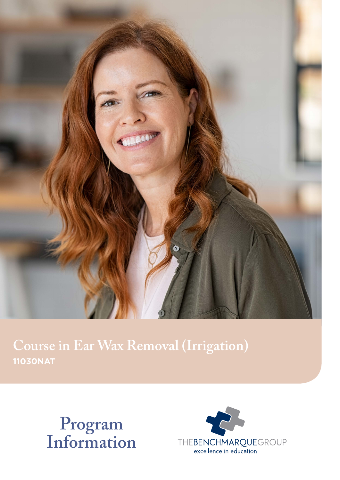

**Course in Ear Wax Removal (Irrigation) 11030NAT**



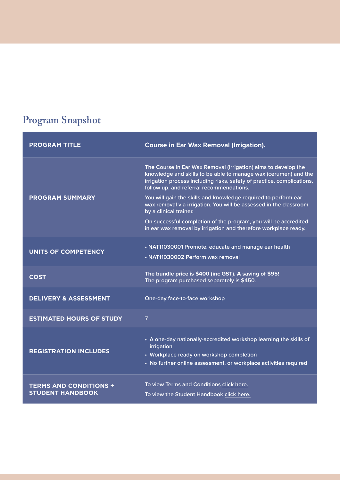## **Program Snapshot**

| <b>PROGRAM TITLE</b>                                     | <b>Course in Ear Wax Removal (Irrigation).</b>                                                                                                                                                                                                          |
|----------------------------------------------------------|---------------------------------------------------------------------------------------------------------------------------------------------------------------------------------------------------------------------------------------------------------|
| <b>PROGRAM SUMMARY</b>                                   | The Course in Ear Wax Removal (Irrigation) aims to develop the<br>knowledge and skills to be able to manage wax (cerumen) and the<br>irrigation process including risks, safety of practice, complications,<br>follow up, and referral recommendations. |
|                                                          | You will gain the skills and knowledge required to perform ear<br>wax removal via irrigation. You will be assessed in the classroom<br>by a clinical trainer.                                                                                           |
|                                                          | On successful completion of the program, you will be accredited<br>in ear wax removal by irrigation and therefore workplace ready.                                                                                                                      |
| <b>UNITS OF COMPETENCY</b>                               | • NAT11030001 Promote, educate and manage ear health<br>• NAT11030002 Perform wax removal                                                                                                                                                               |
| <b>COST</b>                                              | The bundle price is \$400 (inc GST). A saving of \$95!<br>The program purchased separately is \$450.                                                                                                                                                    |
| <b>DELIVERY &amp; ASSESSMENT</b>                         | One-day face-to-face workshop                                                                                                                                                                                                                           |
| <b>ESTIMATED HOURS OF STUDY</b>                          | $\overline{7}$                                                                                                                                                                                                                                          |
| <b>REGISTRATION INCLUDES</b>                             | • A one-day nationally-accredited workshop learning the skills of<br>irrigation<br>• Workplace ready on workshop completion<br>• No further online assessment, or workplace activities required                                                         |
| <b>TERMS AND CONDITIONS +</b><br><b>STUDENT HANDBOOK</b> | To view Terms and Conditions click here.<br>To view the Student Handbook click here.                                                                                                                                                                    |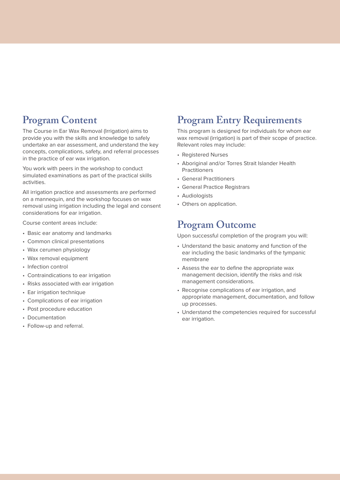### **Program Content**

The Course in Ear Wax Removal (Irrigation) aims to provide you with the skills and knowledge to safely undertake an ear assessment, and understand the key concepts, complications, safety, and referral processes in the practice of ear wax irrigation.

You work with peers in the workshop to conduct simulated examinations as part of the practical skills activities.

All irrigation practice and assessments are performed on a mannequin, and the workshop focuses on wax removal using irrigation including the legal and consent considerations for ear irrigation.

Course content areas include:

- Basic ear anatomy and landmarks
- Common clinical presentations
- Wax cerumen physiology
- Wax removal equipment
- Infection control
- Contraindications to ear irrigation
- Risks associated with ear irrigation
- Ear irrigation technique
- Complications of ear irrigation
- Post procedure education
- Documentation
- Follow-up and referral.

#### **Program Entry Requirements**

This program is designed for individuals for whom ear wax removal (irrigation) is part of their scope of practice. Relevant roles may include:

- Registered Nurses
- Aboriginal and/or Torres Strait Islander Health **Practitioners**
- General Practitioners
- General Practice Registrars
- Audiologists
- Others on application.

#### **Program Outcome**

Upon successful completion of the program you will:

- Understand the basic anatomy and function of the ear including the basic landmarks of the tympanic membrane
- Assess the ear to define the appropriate wax management decision, identify the risks and risk management considerations.
- Recognise complications of ear irrigation, and appropriate management, documentation, and follow up processes.
- Understand the competencies required for successful ear irrigation.